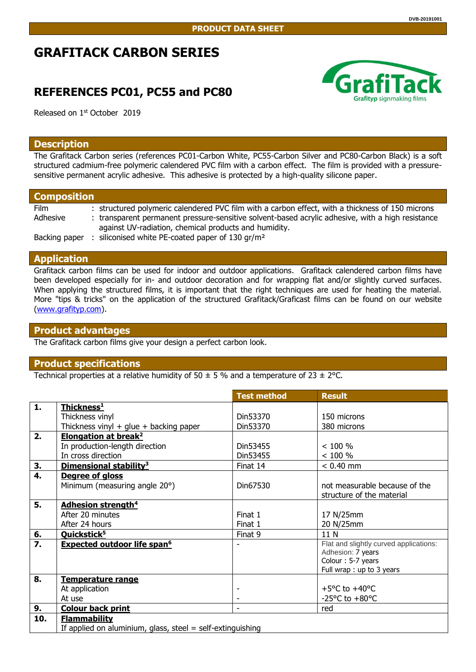# **GRAFITACK CARBON SERIES**

## **REFERENCES PC01, PC55 and PC80**



Released on 1<sup>st</sup> October 2019

#### **Description**

The Grafitack Carbon series (references PC01-Carbon White, PC55-Carbon Silver and PC80-Carbon Black) is a soft structured cadmium-free polymeric calendered PVC film with a carbon effect. The film is provided with a pressuresensitive permanent acrylic adhesive. This adhesive is protected by a high-quality silicone paper.

| <b>Composition</b> |                                                                                                   |  |  |  |  |
|--------------------|---------------------------------------------------------------------------------------------------|--|--|--|--|
| <b>Film</b>        | : structured polymeric calendered PVC film with a carbon effect, with a thickness of 150 microns  |  |  |  |  |
| Adhesive           | : transparent permanent pressure-sensitive solvent-based acrylic adhesive, with a high resistance |  |  |  |  |
|                    | against UV-radiation, chemical products and humidity.                                             |  |  |  |  |
| Backing paper      | siliconised white PE-coated paper of 130 gr/m <sup>2</sup>                                        |  |  |  |  |

## **Application**

Grafitack carbon films can be used for indoor and outdoor applications. Grafitack calendered carbon films have been developed especially for in- and outdoor decoration and for wrapping flat and/or slightly curved surfaces. When applying the structured films, it is important that the right techniques are used for heating the material. More "tips & tricks" on the application of the structured Grafitack/Graficast films can be found on our website [\(www.grafityp.com\)](http://www.grafityp.com/).

## **Product advantages**

The Grafitack carbon films give your design a perfect carbon look.

### **Product specifications**

Technical properties at a relative humidity of 50  $\pm$  5 % and a temperature of 23  $\pm$  2°C.

|                  |                                                            | <b>Test method</b> | <b>Result</b>                          |  |  |
|------------------|------------------------------------------------------------|--------------------|----------------------------------------|--|--|
| 1.               | Thickness <sup>1</sup>                                     |                    |                                        |  |  |
|                  | Thickness vinyl                                            | Din53370           | 150 microns                            |  |  |
|                  | Thickness vinyl $+$ glue $+$ backing paper                 | Din53370           | 380 microns                            |  |  |
| 2.               | <b>Elongation at break<sup>2</sup></b>                     |                    |                                        |  |  |
|                  | In production-length direction                             | Din53455           | < 100 %                                |  |  |
|                  | In cross direction                                         | Din53455           | < 100 %                                |  |  |
| 3.               | Dimensional stability <sup>3</sup>                         | Finat 14           | $< 0.40$ mm                            |  |  |
| $\overline{4}$ . | Degree of gloss                                            |                    |                                        |  |  |
|                  | Minimum (measuring angle 20°)                              | Din67530           | not measurable because of the          |  |  |
|                  |                                                            |                    | structure of the material              |  |  |
| 5.               | <b>Adhesion strength<sup>4</sup></b>                       |                    |                                        |  |  |
|                  | After 20 minutes                                           | Finat 1            | 17 N/25mm                              |  |  |
|                  | After 24 hours                                             | Finat 1            | 20 N/25mm                              |  |  |
| 6.               | Quickstick <sup>5</sup>                                    | Finat 9            | 11 N                                   |  |  |
| $\overline{7}$ . | <b>Expected outdoor life span<sup>6</sup></b>              |                    | Flat and slightly curved applications: |  |  |
|                  |                                                            |                    | Adhesion: 7 years                      |  |  |
|                  |                                                            |                    | Colour: 5-7 years                      |  |  |
|                  |                                                            |                    | Full wrap : up to 3 years              |  |  |
| 8.               | Temperature range                                          |                    |                                        |  |  |
|                  | At application                                             |                    | +5 $\degree$ C to +40 $\degree$ C      |  |  |
|                  | At use                                                     |                    | -25 $\degree$ C to +80 $\degree$ C     |  |  |
| 9.               | <b>Colour back print</b>                                   |                    | red                                    |  |  |
| 10.              | <b>Flammability</b>                                        |                    |                                        |  |  |
|                  | If applied on aluminium, glass, steel = self-extinguishing |                    |                                        |  |  |